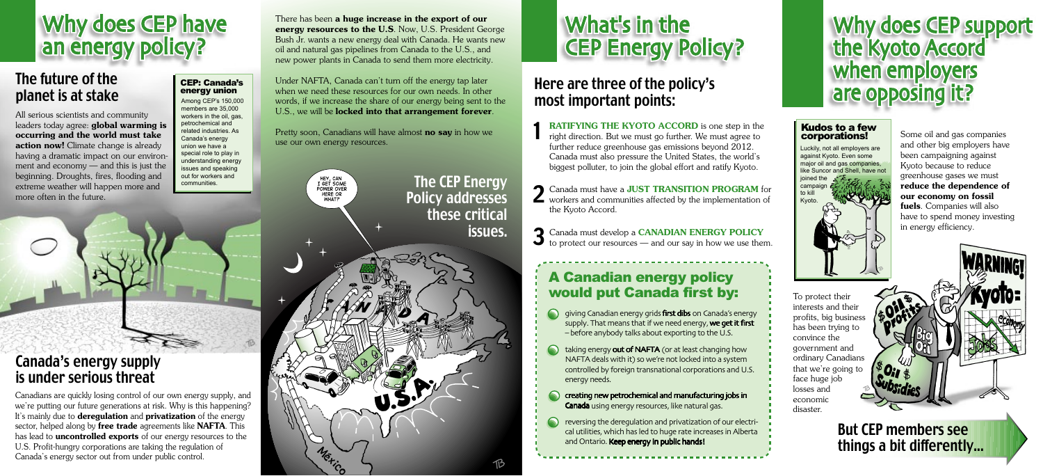To protect their interests and their profits, big business has been trying to convince the government and ordinary Canadians that we're going to face huge job losses and economic disaster.

#### Kudos to a few corporations!

But CEP members see things a bit differently...

#### Canada's energy supply is under serious threat

All serious scientists and community leaders today agree: global warming is occurring and the world must take action now! Climate change is already having a dramatic impact on our environment and economy — and this is just the beginning. Droughts, fires, flooding and extreme weather will happen more and more often in the future.

# Why does CEP have<br>an energy policy?

#### The future of the planet is at stake

**1 RATIFYING THE KYOTO ACCORD** is one step in the right direction. But we must go further. We must agree to use our own energy resources.<br>
further reduce greenhouse gas emissions beyond 2012. Canada must also pressure the United States, the world's biggest polluter, to join the global effort and ratify Kyoto.

Canadians are quickly losing control of our own energy supply, and we're putting our future generations at risk. Why is this happening? It's mainly due to **deregulation** and **privatization** of the energy sector, helped along by free trade agreements like NAFTA. This has lead to **uncontrolled exports** of our energy resources to the U.S. Profit-hungry corporations are taking the regulation of Canada's energy sector out from under public control.

Canada must develop a **CANADIAN ENERGY POLICY**  $\left\{\begin{matrix} \cdot & \cdot \\ \cdot & \cdot \end{matrix}\right\}$  in energy efficiency. to protect our resources — and our say in how we use them.

### Why does CEP support<br>the Kyoto Accord when employers are opposing it?

these critical

issues.

Policy addresses



2 Canada must have a **JUST TRANSITION PROGRAM** for workers and communities affected by the implementation of the Kyoto Accord.

Some oil and gas companies and other big employers have been campaigning against Kyoto because to reduce greenhouse gases we must reduce the dependence of our economy on fossil fuels. Companies will also have to spend money investing

#### There has been a huge increase in the export of our energy resources to the U.S. Now, U.S. President George Bush Jr. wants a new energy deal with Canada. He wants new oil and natural gas pipelines from Canada to the U.S., and new power plants in Canada to send them more electricity.

Among CEP's 150,000 words, if we increase the share of our energy being sent to the **most important points:** Under NAFTA, Canada can't turn off the energy tap later when we need these resources for our own needs. In other U.S., we will be **locked into that arrangement forever**.

Pretty soon, Canadians will have almost no say in how we

HEY, CAN<br>I GET SOME POWER OVER HERE OR **WHAT?** 

Mexico

**The CEP Energy** 

#### A Canadian energy policy would put Canada first by:

- giving Canadian energy grids first dibs on Canada's energy supply. That means that if we need energy, we get it first – before anybody talks about exporting to the U.S.
- taking energy out of NAFTA (or at least changing how NAFTA deals with it) so we're not locked into a system controlled by foreign transnational corporations and U.S. energy needs.
- creating new petrochemical and manufacturing jobs in Canada using energy resources, like natural gas.
- reversing the deregulation and privatization of our electrical utilities, which has led to huge rate increases in Alberta and Ontario. Keep energy in public hands!

## Here are three of the policy's

members are 35,000 workers in the oil, gas, petrochemical and related industries. As Canada's energy union we have a special role to play in understanding energy issues and speaking out for workers and CEP: Canada's energy union

communities.

against Kyoto. Even some major oil and gas companies, like Suncor and Shell, have not joined the campaign to kill Kyoto.